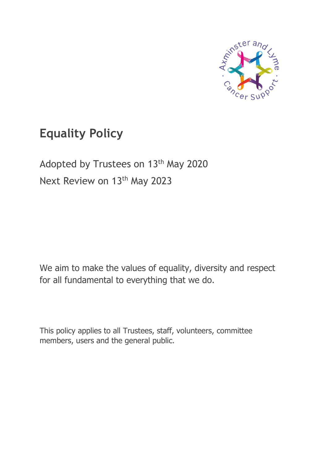

# **Equality Policy**

Adopted by Trustees on 13<sup>th</sup> May 2020 Next Review on 13<sup>th</sup> May 2023

We aim to make the values of equality, diversity and respect for all fundamental to everything that we do.

This policy applies to all Trustees, staff, volunteers, committee members, users and the general public.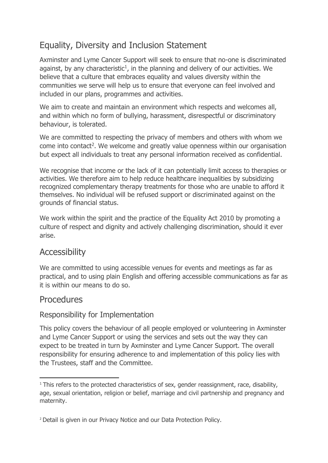# Equality, Diversity and Inclusion Statement

Axminster and Lyme Cancer Support will seek to ensure that no-one is discriminated against, by any characteristic<sup>1</sup>, in the planning and delivery of our activities. We believe that a culture that embraces equality and values diversity within the communities we serve will help us to ensure that everyone can feel involved and included in our plans, programmes and activities.

We aim to create and maintain an environment which respects and welcomes all, and within which no form of bullying, harassment, disrespectful or discriminatory behaviour, is tolerated.

We are committed to respecting the privacy of members and others with whom we come into contact<sup>2</sup>. We welcome and greatly value openness within our organisation but expect all individuals to treat any personal information received as confidential.

We recognise that income or the lack of it can potentially limit access to therapies or activities. We therefore aim to help reduce healthcare inequalities by subsidizing recognized complementary therapy treatments for those who are unable to afford it themselves. No individual will be refused support or discriminated against on the grounds of financial status.

We work within the spirit and the practice of the Equality Act 2010 by promoting a culture of respect and dignity and actively challenging discrimination, should it ever arise.

# Accessibility

We are committed to using accessible venues for events and meetings as far as practical, and to using plain English and offering accessible communications as far as it is within our means to do so.

# **Procedures**

#### Responsibility for Implementation

This policy covers the behaviour of all people employed or volunteering in Axminster and Lyme Cancer Support or using the services and sets out the way they can expect to be treated in turn by Axminster and Lyme Cancer Support. The overall responsibility for ensuring adherence to and implementation of this policy lies with the Trustees, staff and the Committee.

<sup>&</sup>lt;sup>1</sup> This refers to the protected characteristics of sex, gender reassignment, race, disability, age, sexual orientation, religion or belief, marriage and civil partnership and pregnancy and maternity.

<sup>2</sup> Detail is given in our Privacy Notice and our Data Protection Policy.